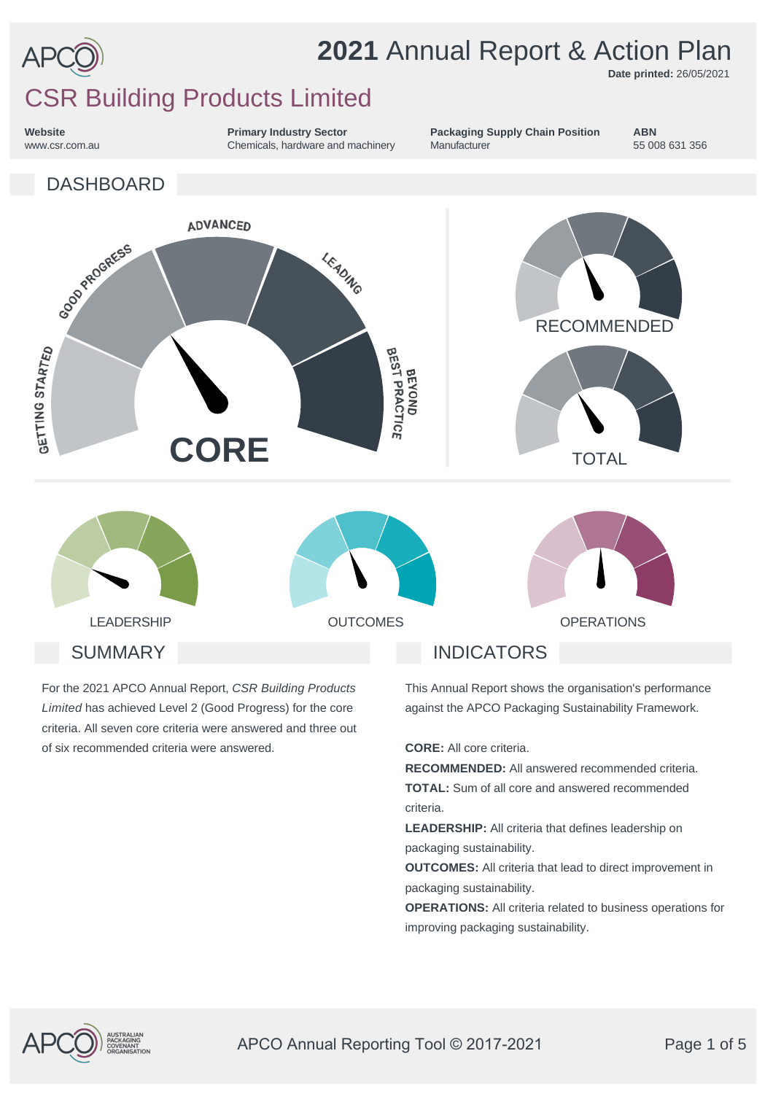

**Date printed:** 26/05/2021

### CSR Building Products Limited

**Website** www.csr.com.au **Primary Industry Sector** Chemicals, hardware and machinery



**ABN** 55 008 631 356



For the 2021 APCO Annual Report, *CSR Building Products Limited* has achieved Level 2 (Good Progress) for the core criteria. All seven core criteria were answered and three out of six recommended criteria were answered.

This Annual Report shows the organisation's performance against the APCO Packaging Sustainability Framework.

**CORE:** All core criteria.

**RECOMMENDED:** All answered recommended criteria. **TOTAL:** Sum of all core and answered recommended criteria.

**LEADERSHIP:** All criteria that defines leadership on packaging sustainability.

**OUTCOMES:** All criteria that lead to direct improvement in packaging sustainability.

**OPERATIONS:** All criteria related to business operations for improving packaging sustainability.



APCO Annual Reporting Tool © 2017-2021 Page 1 of 5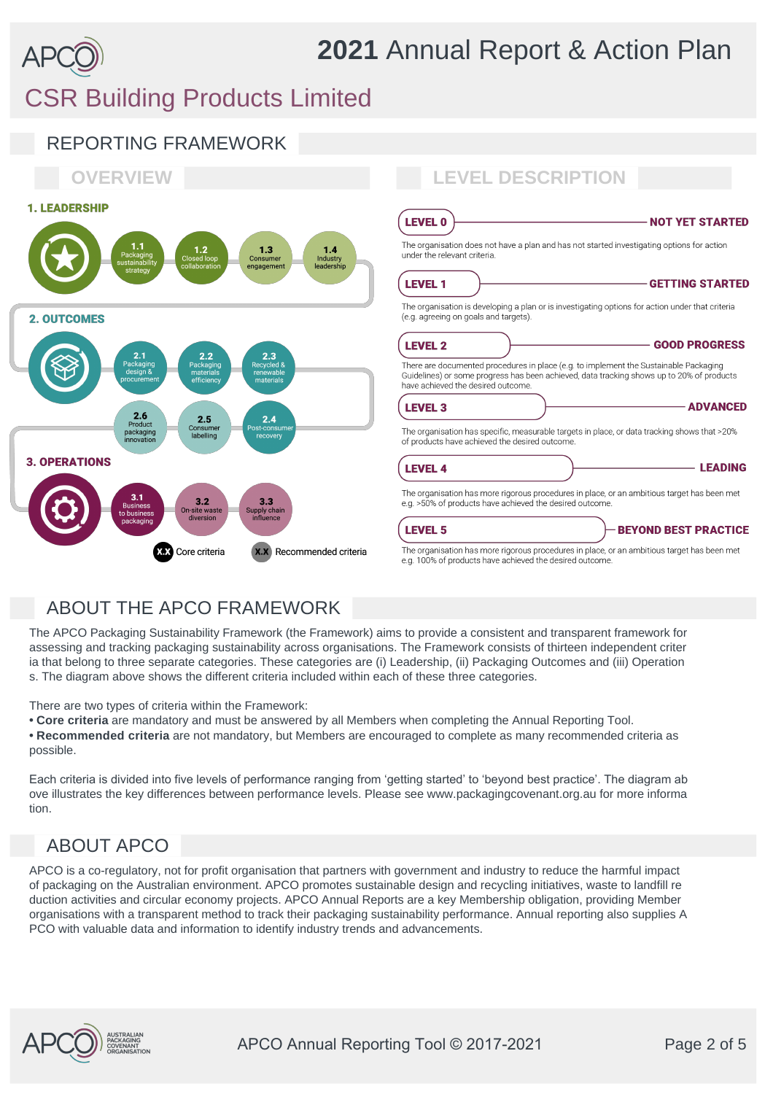## CSR Building Products Limited



### ABOUT THE APCO FRAMEWORK

The APCO Packaging Sustainability Framework (the Framework) aims to provide a consistent and transparent framework for assessing and tracking packaging sustainability across organisations. The Framework consists of thirteen independent criter ia that belong to three separate categories. These categories are (i) Leadership, (ii) Packaging Outcomes and (iii) Operation s. The diagram above shows the different criteria included within each of these three categories.

There are two types of criteria within the Framework:

**• Core criteria** are mandatory and must be answered by all Members when completing the Annual Reporting Tool. **• Recommended criteria** are not mandatory, but Members are encouraged to complete as many recommended criteria as possible.

Each criteria is divided into five levels of performance ranging from 'getting started' to 'beyond best practice'. The diagram ab ove illustrates the key differences between performance levels. Please see www.packagingcovenant.org.au for more informa tion.

### ABOUT APCO

APCO is a co-regulatory, not for profit organisation that partners with government and industry to reduce the harmful impact of packaging on the Australian environment. APCO promotes sustainable design and recycling initiatives, waste to landfill re duction activities and circular economy projects. APCO Annual Reports are a key Membership obligation, providing Member organisations with a transparent method to track their packaging sustainability performance. Annual reporting also supplies A PCO with valuable data and information to identify industry trends and advancements.

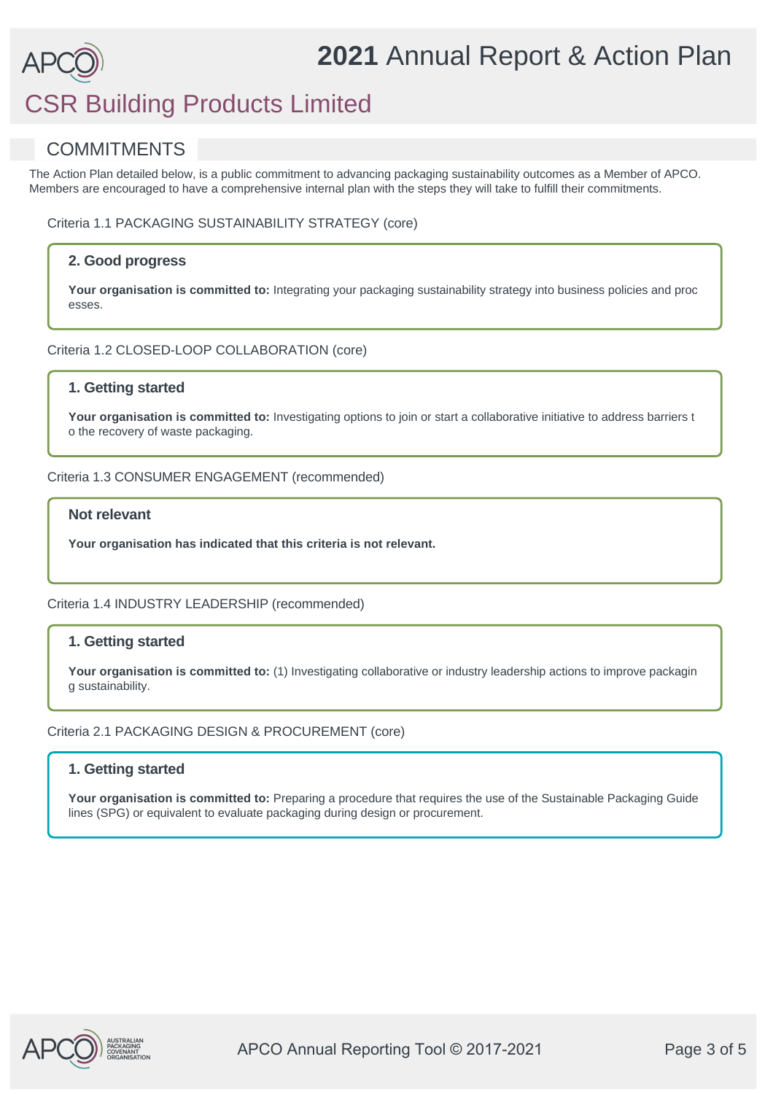# CSR Building Products Limited

### **COMMITMENTS**

The Action Plan detailed below, is a public commitment to advancing packaging sustainability outcomes as a Member of APCO. Members are encouraged to have a comprehensive internal plan with the steps they will take to fulfill their commitments.

Criteria 1.1 PACKAGING SUSTAINABILITY STRATEGY (core)

#### **2. Good progress**

Your organisation is committed to: Integrating your packaging sustainability strategy into business policies and proc esses.

Criteria 1.2 CLOSED-LOOP COLLABORATION (core)

#### **1. Getting started**

**Your organisation is committed to:** Investigating options to join or start a collaborative initiative to address barriers t o the recovery of waste packaging.

Criteria 1.3 CONSUMER ENGAGEMENT (recommended)

#### **Not relevant**

**Your organisation has indicated that this criteria is not relevant.**

Criteria 1.4 INDUSTRY LEADERSHIP (recommended)

#### **1. Getting started**

Your organisation is committed to: (1) Investigating collaborative or industry leadership actions to improve packagin g sustainability.

Criteria 2.1 PACKAGING DESIGN & PROCUREMENT (core)

#### **1. Getting started**

Your organisation is committed to: Preparing a procedure that requires the use of the Sustainable Packaging Guide lines (SPG) or equivalent to evaluate packaging during design or procurement.

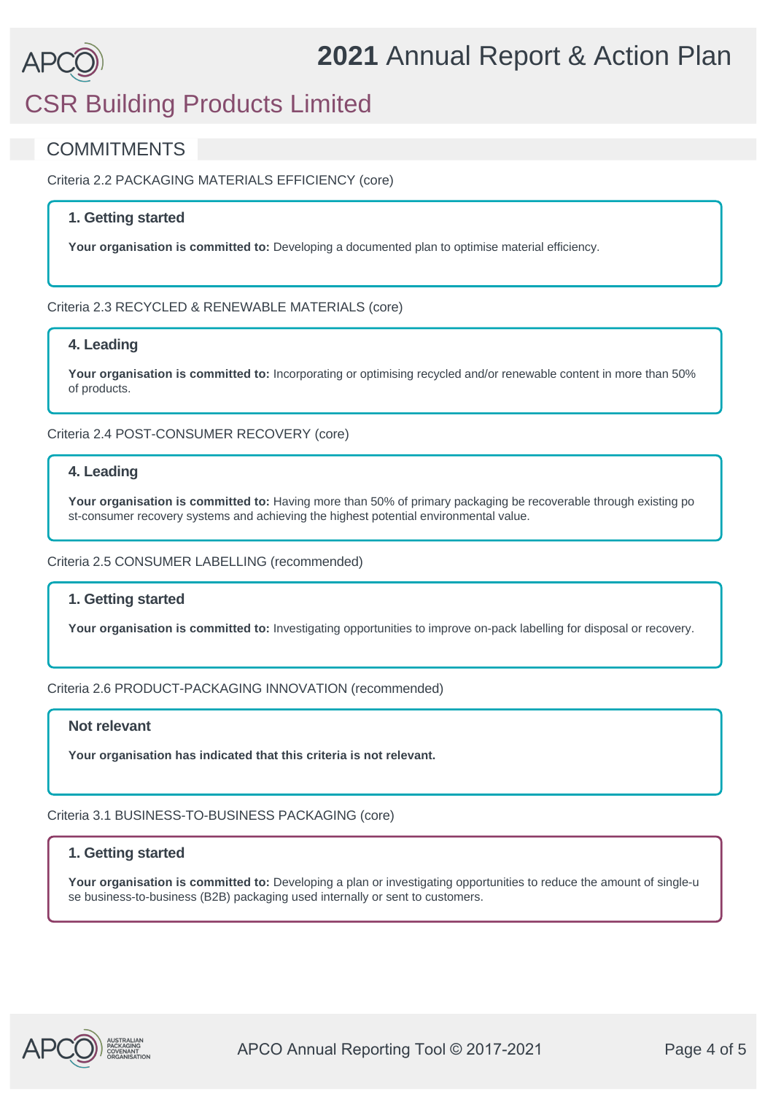## CSR Building Products Limited

### **COMMITMENTS**

Criteria 2.2 PACKAGING MATERIALS EFFICIENCY (core)

#### **1. Getting started**

**Your organisation is committed to:** Developing a documented plan to optimise material efficiency.

#### Criteria 2.3 RECYCLED & RENEWABLE MATERIALS (core)

#### **4. Leading**

**Your organisation is committed to:** Incorporating or optimising recycled and/or renewable content in more than 50% of products.

Criteria 2.4 POST-CONSUMER RECOVERY (core)

#### **4. Leading**

**Your organisation is committed to:** Having more than 50% of primary packaging be recoverable through existing po st-consumer recovery systems and achieving the highest potential environmental value.

Criteria 2.5 CONSUMER LABELLING (recommended)

#### **1. Getting started**

**Your organisation is committed to:** Investigating opportunities to improve on-pack labelling for disposal or recovery.

#### Criteria 2.6 PRODUCT-PACKAGING INNOVATION (recommended)

#### **Not relevant**

**Your organisation has indicated that this criteria is not relevant.**

Criteria 3.1 BUSINESS-TO-BUSINESS PACKAGING (core)

#### **1. Getting started**

**Your organisation is committed to:** Developing a plan or investigating opportunities to reduce the amount of single-u se business-to-business (B2B) packaging used internally or sent to customers.